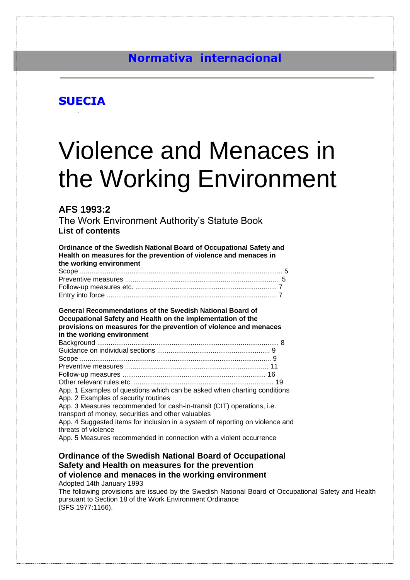# **Normativa internacional**

# **SUECIA**

# Violence and Menaces in the Working Environment

# **AFS 1993:2**

The Work Environment Authority's Statute Book **List of contents**

**Ordinance of the Swedish National Board of Occupational Safety and Health on measures for the prevention of violence and menaces in the working environment** Scope .......................................................................................................... 5 Preventive measures ................................................................................. 5 Follow-up measures etc. .......................................................................... 7 Entry into force ......................................................................................... 7 **General Recommendations of the Swedish National Board of Occupational Safety and Health on the implementation of the provisions on measures for the prevention of violence and menaces in the working environment** Background ............................................................................................... 8 Guidance on individual sections ........................................................... 9 Scope .................................................................................................... 9 Preventive measures ........................................................................... 11 Follow-up measures ........................................................................... 16 Other relevant rules etc. ......................................................................... 19 App. 1 Examples of questions which can be asked when charting conditions App. 2 Examples of security routines App. 3 Measures recommended for cash-in-transit (CIT) operations, i.e. transport of money, securities and other valuables App. 4 Suggested items for inclusion in a system of reporting on violence and threats of violence App. 5 Measures recommended in connection with a violent occurrence

# **Ordinance of the Swedish National Board of Occupational Safety and Health on measures for the prevention of violence and menaces in the working environment**

Adopted 14th January 1993

The following provisions are issued by the Swedish National Board of Occupational Safety and Health pursuant to Section 18 of the Work Environment Ordinance (SFS 1977:1166).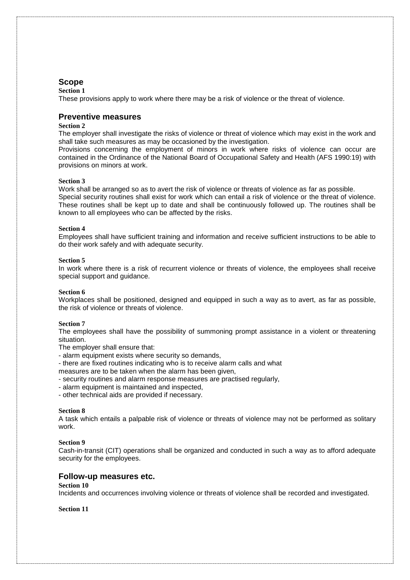# **Scope**

#### **Section 1**

These provisions apply to work where there may be a risk of violence or the threat of violence.

# **Preventive measures**

## **Section 2**

The employer shall investigate the risks of violence or threat of violence which may exist in the work and shall take such measures as may be occasioned by the investigation.

Provisions concerning the employment of minors in work where risks of violence can occur are contained in the Ordinance of the National Board of Occupational Safety and Health (AFS 1990:19) with provisions on minors at work.

#### **Section 3**

Work shall be arranged so as to avert the risk of violence or threats of violence as far as possible. Special security routines shall exist for work which can entail a risk of violence or the threat of violence. These routines shall be kept up to date and shall be continuously followed up. The routines shall be known to all employees who can be affected by the risks.

#### **Section 4**

Employees shall have sufficient training and information and receive sufficient instructions to be able to do their work safely and with adequate security.

#### **Section 5**

In work where there is a risk of recurrent violence or threats of violence, the employees shall receive special support and guidance.

#### **Section 6**

Workplaces shall be positioned, designed and equipped in such a way as to avert, as far as possible, the risk of violence or threats of violence.

#### **Section 7**

The employees shall have the possibility of summoning prompt assistance in a violent or threatening situation.

- The employer shall ensure that:
- alarm equipment exists where security so demands,
- there are fixed routines indicating who is to receive alarm calls and what
- measures are to be taken when the alarm has been given,
- security routines and alarm response measures are practised regularly,
- alarm equipment is maintained and inspected,
- other technical aids are provided if necessary.

#### **Section 8**

A task which entails a palpable risk of violence or threats of violence may not be performed as solitary work.

#### **Section 9**

Cash-in-transit (CIT) operations shall be organized and conducted in such a way as to afford adequate security for the employees.

#### **Follow-up measures etc.**

## **Section 10**

Incidents and occurrences involving violence or threats of violence shall be recorded and investigated.

**Section 11**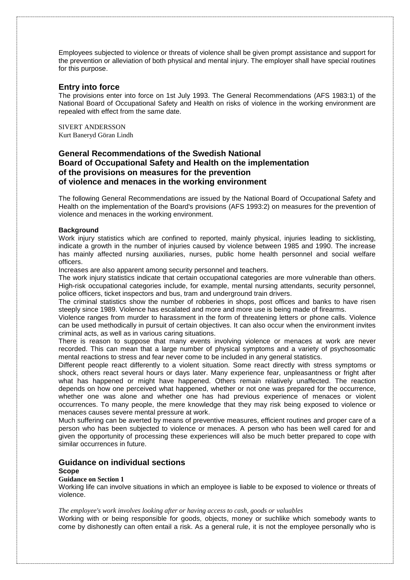Employees subjected to violence or threats of violence shall be given prompt assistance and support for the prevention or alleviation of both physical and mental injury. The employer shall have special routines for this purpose.

# **Entry into force**

The provisions enter into force on 1st July 1993. The General Recommendations (AFS 1983:1) of the National Board of Occupational Safety and Health on risks of violence in the working environment are repealed with effect from the same date.

SIVERT ANDERSSON Kurt Baneryd Göran Lindh

# **General Recommendations of the Swedish National Board of Occupational Safety and Health on the implementation of the provisions on measures for the prevention of violence and menaces in the working environment**

The following General Recommendations are issued by the National Board of Occupational Safety and Health on the implementation of the Board's provisions (AFS 1993:2) on measures for the prevention of violence and menaces in the working environment.

#### **Background**

Work injury statistics which are confined to reported, mainly physical, injuries leading to sicklisting, indicate a growth in the number of injuries caused by violence between 1985 and 1990. The increase has mainly affected nursing auxiliaries, nurses, public home health personnel and social welfare officers.

Increases are also apparent among security personnel and teachers.

The work injury statistics indicate that certain occupational categories are more vulnerable than others. High-risk occupational categories include, for example, mental nursing attendants, security personnel, police officers, ticket inspectors and bus, tram and underground train drivers.

The criminal statistics show the number of robberies in shops, post offices and banks to have risen steeply since 1989. Violence has escalated and more and more use is being made of firearms.

Violence ranges from murder to harassment in the form of threatening letters or phone calls. Violence can be used methodically in pursuit of certain objectives. It can also occur when the environment invites criminal acts, as well as in various caring situations.

There is reason to suppose that many events involving violence or menaces at work are never recorded. This can mean that a large number of physical symptoms and a variety of psychosomatic mental reactions to stress and fear never come to be included in any general statistics.

Different people react differently to a violent situation. Some react directly with stress symptoms or shock, others react several hours or days later. Many experience fear, unpleasantness or fright after what has happened or might have happened. Others remain relatively unaffected. The reaction depends on how one perceived what happened, whether or not one was prepared for the occurrence, whether one was alone and whether one has had previous experience of menaces or violent occurrences. To many people, the mere knowledge that they may risk being exposed to violence or menaces causes severe mental pressure at work.

Much suffering can be averted by means of preventive measures, efficient routines and proper care of a person who has been subjected to violence or menaces. A person who has been well cared for and given the opportunity of processing these experiences will also be much better prepared to cope with similar occurrences in future.

# **Guidance on individual sections**

# **Scope**

#### **Guidance on Section 1**

Working life can involve situations in which an employee is liable to be exposed to violence or threats of violence.

#### *The employee's work involves looking after or having access to cash, goods or valuables*

Working with or being responsible for goods, objects, money or suchlike which somebody wants to come by dishonestly can often entail a risk. As a general rule, it is not the employee personally who is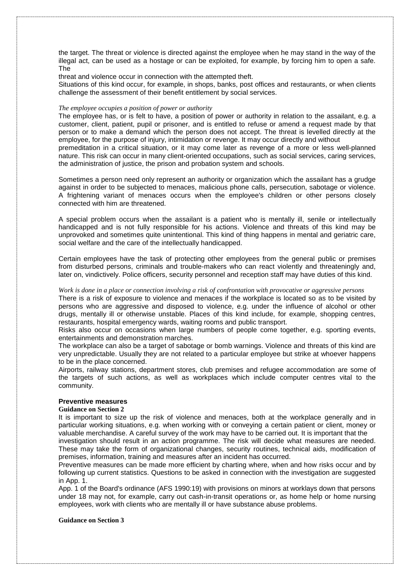the target. The threat or violence is directed against the employee when he may stand in the way of the illegal act, can be used as a hostage or can be exploited, for example, by forcing him to open a safe. The

threat and violence occur in connection with the attempted theft.

Situations of this kind occur, for example, in shops, banks, post offices and restaurants, or when clients challenge the assessment of their benefit entitlement by social services.

#### *The employee occupies a position of power or authority*

The employee has, or is felt to have, a position of power or authority in relation to the assailant, e.g. a customer, client, patient, pupil or prisoner, and is entitled to refuse or amend a request made by that person or to make a demand which the person does not accept. The threat is levelled directly at the employee, for the purpose of injury, intimidation or revenge. It may occur directly and without premeditation in a critical situation, or it may come later as revenge of a more or less well-planned nature. This risk can occur in many client-oriented occupations, such as social services, caring services, the administration of justice, the prison and probation system and schools.

Sometimes a person need only represent an authority or organization which the assailant has a grudge against in order to be subjected to menaces, malicious phone calls, persecution, sabotage or violence. A frightening variant of menaces occurs when the employee's children or other persons closely connected with him are threatened.

A special problem occurs when the assailant is a patient who is mentally ill, senile or intellectually handicapped and is not fully responsible for his actions. Violence and threats of this kind may be unprovoked and sometimes quite unintentional. This kind of thing happens in mental and geriatric care, social welfare and the care of the intellectually handicapped.

Certain employees have the task of protecting other employees from the general public or premises from disturbed persons, criminals and trouble-makers who can react violently and threateningly and, later on, vindictively. Police officers, security personnel and reception staff may have duties of this kind.

# *Work is done in a place or connection involving a risk of confrontation with provocative or aggressive persons*

There is a risk of exposure to violence and menaces if the workplace is located so as to be visited by persons who are aggressive and disposed to violence, e.g. under the influence of alcohol or other drugs, mentally ill or otherwise unstable. Places of this kind include, for example, shopping centres, restaurants, hospital emergency wards, waiting rooms and public transport.

Risks also occur on occasions when large numbers of people come together, e.g. sporting events, entertainments and demonstration marches.

The workplace can also be a target of sabotage or bomb warnings. Violence and threats of this kind are very unpredictable. Usually they are not related to a particular employee but strike at whoever happens to be in the place concerned.

Airports, railway stations, department stores, club premises and refugee accommodation are some of the targets of such actions, as well as workplaces which include computer centres vital to the community.

#### **Preventive measures**

#### **Guidance on Section 2**

It is important to size up the risk of violence and menaces, both at the workplace generally and in particular working situations, e.g. when working with or conveying a certain patient or client, money or valuable merchandise. A careful survey of the work may have to be carried out. It is important that the

investigation should result in an action programme. The risk will decide what measures are needed. These may take the form of organizational changes, security routines, technical aids, modification of premises, information, training and measures after an incident has occurred.

Preventive measures can be made more efficient by charting where, when and how risks occur and by following up current statistics. Questions to be asked in connection with the investigation are suggested in App. 1.

App. 1 of the Board's ordinance (AFS 1990:19) with provisions on minors at worklays down that persons under 18 may not, for example, carry out cash-in-transit operations or, as home help or home nursing employees, work with clients who are mentally ill or have substance abuse problems.

#### **Guidance on Section 3**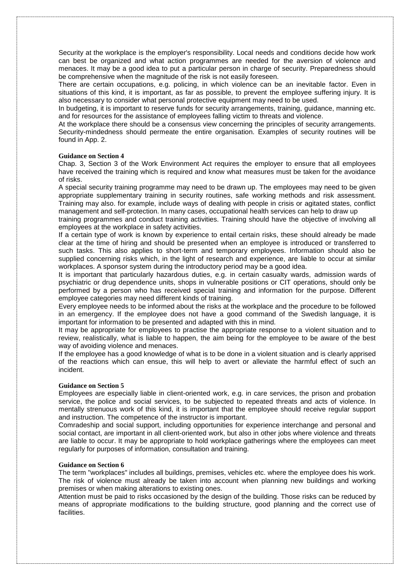Security at the workplace is the employer's responsibility. Local needs and conditions decide how work can best be organized and what action programmes are needed for the aversion of violence and menaces. It may be a good idea to put a particular person in charge of security. Preparedness should be comprehensive when the magnitude of the risk is not easily foreseen.

There are certain occupations, e.g. policing, in which violence can be an inevitable factor. Even in situations of this kind, it is important, as far as possible, to prevent the employee suffering injury. It is also necessary to consider what personal protective equipment may need to be used.

In budgeting, it is important to reserve funds for security arrangements, training, guidance, manning etc. and for resources for the assistance of employees falling victim to threats and violence.

At the workplace there should be a consensus view concerning the principles of security arrangements. Security-mindedness should permeate the entire organisation. Examples of security routines will be found in App. 2.

#### **Guidance on Section 4**

Chap. 3, Section 3 of the Work Environment Act requires the employer to ensure that all employees have received the training which is required and know what measures must be taken for the avoidance of risks.

A special security training programme may need to be drawn up. The employees may need to be given appropriate supplementary training in security routines, safe working methods and risk assessment. Training may also. for example, include ways of dealing with people in crisis or agitated states, conflict management and self-protection. In many cases, occupational health services can help to draw up

training programmes and conduct training activities. Training should have the objective of involving all employees at the workplace in safety activities.

If a certain type of work is known by experience to entail certain risks, these should already be made clear at the time of hiring and should be presented when an employee is introduced or transferred to such tasks. This also applies to short-term and temporary employees. Information should also be supplied concerning risks which, in the light of research and experience, are liable to occur at similar workplaces. A sponsor system during the introductory period may be a good idea.

It is important that particularly hazardous duties, e.g. in certain casualty wards, admission wards of psychiatric or drug dependence units, shops in vulnerable positions or CIT operations, should only be performed by a person who has received special training and information for the purpose. Different employee categories may need different kinds of training.

Every employee needs to be informed about the risks at the workplace and the procedure to be followed in an emergency. If the employee does not have a good command of the Swedish language, it is important for information to be presented and adapted with this in mind.

It may be appropriate for employees to practise the appropriate response to a violent situation and to review, realistically, what is liable to happen, the aim being for the employee to be aware of the best way of avoiding violence and menaces.

If the employee has a good knowledge of what is to be done in a violent situation and is clearly apprised of the reactions which can ensue, this will help to avert or alleviate the harmful effect of such an incident.

#### **Guidance on Section 5**

Employees are especially liable in client-oriented work, e.g. in care services, the prison and probation service, the police and social services, to be subjected to repeated threats and acts of violence. In mentally strenuous work of this kind, it is important that the employee should receive regular support and instruction. The competence of the instructor is important.

Comradeship and social support, including opportunities for experience interchange and personal and social contact, are important in all client-oriented work, but also in other jobs where violence and threats are liable to occur. It may be appropriate to hold workplace gatherings where the employees can meet regularly for purposes of information, consultation and training.

#### **Guidance on Section 6**

The term "workplaces" includes all buildings, premises, vehicles etc. where the employee does his work. The risk of violence must already be taken into account when planning new buildings and working premises or when making alterations to existing ones.

Attention must be paid to risks occasioned by the design of the building. Those risks can be reduced by means of appropriate modifications to the building structure, good planning and the correct use of facilities.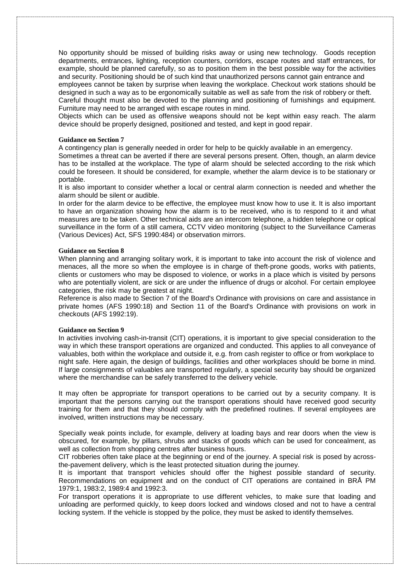No opportunity should be missed of building risks away or using new technology. Goods reception departments, entrances, lighting, reception counters, corridors, escape routes and staff entrances, for example, should be planned carefully, so as to position them in the best possible way for the activities and security. Positioning should be of such kind that unauthorized persons cannot gain entrance and employees cannot be taken by surprise when leaving the workplace. Checkout work stations should be designed in such a way as to be ergonomically suitable as well as safe from the risk of robbery or theft. Careful thought must also be devoted to the planning and positioning of furnishings and equipment. Furniture may need to be arranged with escape routes in mind.

Objects which can be used as offensive weapons should not be kept within easy reach. The alarm device should be properly designed, positioned and tested, and kept in good repair.

#### **Guidance on Section 7**

A contingency plan is generally needed in order for help to be quickly available in an emergency.

Sometimes a threat can be averted if there are several persons present. Often, though, an alarm device has to be installed at the workplace. The type of alarm should be selected according to the risk which could be foreseen. It should be considered, for example, whether the alarm device is to be stationary or portable.

It is also important to consider whether a local or central alarm connection is needed and whether the alarm should be silent or audible.

In order for the alarm device to be effective, the employee must know how to use it. It is also important to have an organization showing how the alarm is to be received, who is to respond to it and what measures are to be taken. Other technical aids are an intercom telephone, a hidden telephone or optical surveillance in the form of a still camera, CCTV video monitoring (subject to the Surveillance Cameras (Various Devices) Act, SFS 1990:484) or observation mirrors.

#### **Guidance on Section 8**

When planning and arranging solitary work, it is important to take into account the risk of violence and menaces, all the more so when the employee is in charge of theft-prone goods, works with patients, clients or customers who may be disposed to violence, or works in a place which is visited by persons who are potentially violent, are sick or are under the influence of drugs or alcohol. For certain employee categories, the risk may be greatest at night.

Reference is also made to Section 7 of the Board's Ordinance with provisions on care and assistance in private homes (AFS 1990:18) and Section 11 of the Board's Ordinance with provisions on work in checkouts (AFS 1992:19).

#### **Guidance on Section 9**

In activities involving cash-in-transit (CIT) operations, it is important to give special consideration to the way in which these transport operations are organized and conducted. This applies to all conveyance of valuables, both within the workplace and outside it, e.g. from cash register to office or from workplace to night safe. Here again, the design of buildings, facilities and other workplaces should be borne in mind. If large consignments of valuables are transported regularly, a special security bay should be organized where the merchandise can be safely transferred to the delivery vehicle.

It may often be appropriate for transport operations to be carried out by a security company. It is important that the persons carrying out the transport operations should have received good security training for them and that they should comply with the predefined routines. If several employees are involved, written instructions may be necessary.

Specially weak points include, for example, delivery at loading bays and rear doors when the view is obscured, for example, by pillars, shrubs and stacks of goods which can be used for concealment, as well as collection from shopping centres after business hours.

CIT robberies often take place at the beginning or end of the journey. A special risk is posed by acrossthe-pavement delivery, which is the least protected situation during the journey.

It is important that transport vehicles should offer the highest possible standard of security. Recommendations on equipment and on the conduct of CIT operations are contained in BRÅ PM 1979:1, 1983:2, 1989:4 and 1992:3.

For transport operations it is appropriate to use different vehicles, to make sure that loading and unloading are performed quickly, to keep doors locked and windows closed and not to have a central locking system. If the vehicle is stopped by the police, they must be asked to identify themselves.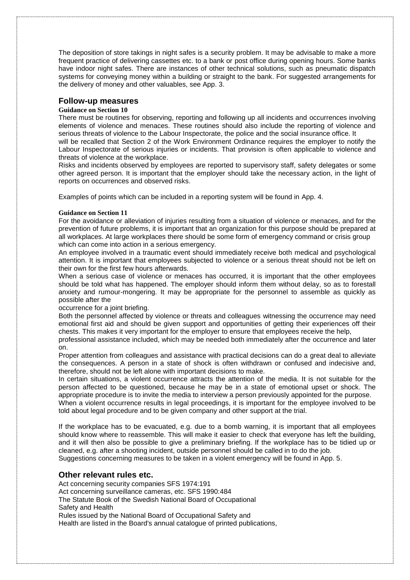The deposition of store takings in night safes is a security problem. It may be advisable to make a more frequent practice of delivering cassettes etc. to a bank or post office during opening hours. Some banks have indoor night safes. There are instances of other technical solutions, such as pneumatic dispatch systems for conveying money within a building or straight to the bank. For suggested arrangements for the delivery of money and other valuables, see App. 3.

# **Follow-up measures**

#### **Guidance on Section 10**

There must be routines for observing, reporting and following up all incidents and occurrences involving elements of violence and menaces. These routines should also include the reporting of violence and serious threats of violence to the Labour Inspectorate, the police and the social insurance office. It will be recalled that Section 2 of the Work Environment Ordinance requires the employer to notify the

Labour Inspectorate of serious injuries or incidents. That provision is often applicable to violence and threats of violence at the workplace. Risks and incidents observed by employees are reported to supervisory staff, safety delegates or some

other agreed person. It is important that the employer should take the necessary action, in the light of reports on occurrences and observed risks.

Examples of points which can be included in a reporting system will be found in App. 4.

#### **Guidance on Section 11**

For the avoidance or alleviation of injuries resulting from a situation of violence or menaces, and for the prevention of future problems, it is important that an organization for this purpose should be prepared at all workplaces. At large workplaces there should be some form of emergency command or crisis group which can come into action in a serious emergency.

An employee involved in a traumatic event should immediately receive both medical and psychological attention. It is important that employees subjected to violence or a serious threat should not be left on their own for the first few hours afterwards.

When a serious case of violence or menaces has occurred, it is important that the other employees should be told what has happened. The employer should inform them without delay, so as to forestall anxiety and rumour-mongering. It may be appropriate for the personnel to assemble as quickly as possible after the

#### occurrence for a joint briefing.

Both the personnel affected by violence or threats and colleagues witnessing the occurrence may need emotional first aid and should be given support and opportunities of getting their experiences off their chests. This makes it very important for the employer to ensure that employees receive the help,

professional assistance included, which may be needed both immediately after the occurrence and later on.

Proper attention from colleagues and assistance with practical decisions can do a great deal to alleviate the consequences. A person in a state of shock is often withdrawn or confused and indecisive and, therefore, should not be left alone with important decisions to make.

In certain situations, a violent occurrence attracts the attention of the media. It is not suitable for the person affected to be questioned, because he may be in a state of emotional upset or shock. The appropriate procedure is to invite the media to interview a person previously appointed for the purpose. When a violent occurrence results in legal proceedings, it is important for the employee involved to be

told about legal procedure and to be given company and other support at the trial.

If the workplace has to be evacuated, e.g. due to a bomb warning, it is important that all employees should know where to reassemble. This will make it easier to check that everyone has left the building, and it will then also be possible to give a preliminary briefing. If the workplace has to be tidied up or cleaned, e.g. after a shooting incident, outside personnel should be called in to do the job. Suggestions concerning measures to be taken in a violent emergency will be found in App. 5.

# **Other relevant rules etc.**

Act concerning security companies SFS 1974:191

Act concerning surveillance cameras, etc. SFS 1990:484

The Statute Book of the Swedish National Board of Occupational

Safety and Health

Rules issued by the National Board of Occupational Safety and

Health are listed in the Board's annual catalogue of printed publications,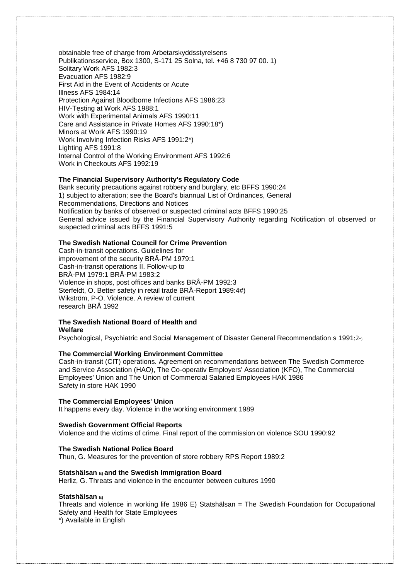obtainable free of charge from Arbetarskyddsstyrelsens Publikationsservice, Box 1300, S-171 25 Solna, tel. +46 8 730 97 00. 1) Solitary Work AFS 1982:3 Evacuation AFS 1982:9 First Aid in the Event of Accidents or Acute Illness AFS 1984:14 Protection Against Bloodborne Infections AFS 1986:23 HIV-Testing at Work AFS 1988:1 Work with Experimental Animals AFS 1990:11 Care and Assistance in Private Homes AFS 1990:18\*) Minors at Work AFS 1990:19 Work Involving Infection Risks AFS 1991:2\*) Lighting AFS 1991:8 Internal Control of the Working Environment AFS 1992:6 Work in Checkouts AFS 1992:19

## **The Financial Supervisory Authority's Regulatory Code**

Bank security precautions against robbery and burglary, etc BFFS 1990:24 1) subject to alteration; see the Board's biannual List of Ordinances, General Recommendations, Directions and Notices Notification by banks of observed or suspected criminal acts BFFS 1990:25 General advice issued by the Financial Supervisory Authority regarding Notification of observed or suspected criminal acts BFFS 1991:5

#### **The Swedish National Council for Crime Prevention**

Cash-in-transit operations. Guidelines for improvement of the security BRÅ-PM 1979:1 Cash-in-transit operations II. Follow-up to BRÅ-PM 1979:1 BRÅ-PM 1983:2 Violence in shops, post offices and banks BRÅ-PM 1992:3 Sterfeldt, O. Better safety in retail trade BRÅ-Report 1989:4#) Wikström, P-O. Violence. A review of current research BRÅ 1992

# **The Swedish National Board of Health and Welfare**

Psychological, Psychiatric and Social Management of Disaster General Recommendation s 1991:2\*)

#### **The Commercial Working Environment Committee**

Cash-in-transit (CIT) operations. Agreement on recommendations between The Swedish Commerce and Service Association (HAO), The Co-operativ Employers' Association (KFO), The Commercial Employees' Union and The Union of Commercial Salaried Employees HAK 1986 Safety in store HAK 1990

#### **The Commercial Employees' Union**

It happens every day. Violence in the working environment 1989

#### **Swedish Government Official Reports**

Violence and the victims of crime. Final report of the commission on violence SOU 1990:92

#### **The Swedish National Police Board**

Thun, G. Measures for the prevention of store robbery RPS Report 1989:2

#### **Statshälsan** E**) and the Swedish Immigration Board**

Herliz, G. Threats and violence in the encounter between cultures 1990

#### **Statshälsan** E**)**

Threats and violence in working life 1986 E) Statshälsan = The Swedish Foundation for Occupational Safety and Health for State Employees \*) Available in English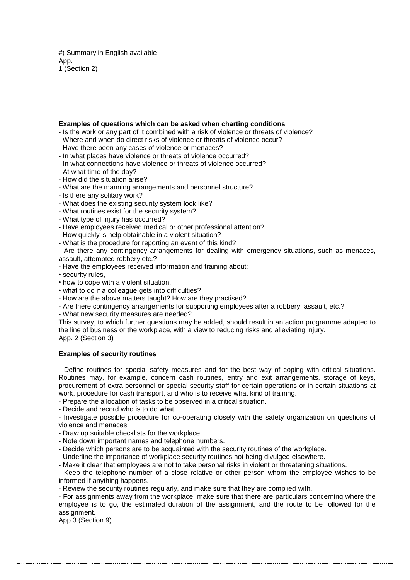#) Summary in English available App. 1 (Section 2)

#### **Examples of questions which can be asked when charting conditions**

- Is the work or any part of it combined with a risk of violence or threats of violence?
- Where and when do direct risks of violence or threats of violence occur?
- Have there been any cases of violence or menaces?
- In what places have violence or threats of violence occurred?
- In what connections have violence or threats of violence occurred?
- At what time of the day?
- How did the situation arise?
- What are the manning arrangements and personnel structure?
- Is there any solitary work?
- What does the existing security system look like?
- What routines exist for the security system?
- What type of injury has occurred?
- Have employees received medical or other professional attention?
- How quickly is help obtainable in a violent situation?
- What is the procedure for reporting an event of this kind?

- Are there any contingency arrangements for dealing with emergency situations, such as menaces, assault, attempted robbery etc.?

- Have the employees received information and training about:
- security rules,
- how to cope with a violent situation,
- what to do if a colleague gets into difficulties?
- How are the above matters taught? How are they practised?
- Are there contingency arrangements for supporting employees after a robbery, assault, etc.?
- What new security measures are needed?

This survey, to which further questions may be added, should result in an action programme adapted to the line of business or the workplace, with a view to reducing risks and alleviating injury. App. 2 (Section 3)

#### **Examples of security routines**

- Define routines for special safety measures and for the best way of coping with critical situations. Routines may, for example, concern cash routines, entry and exit arrangements, storage of keys, procurement of extra personnel or special security staff for certain operations or in certain situations at work, procedure for cash transport, and who is to receive what kind of training.

- Prepare the allocation of tasks to be observed in a critical situation.

- Decide and record who is to do what.

- Investigate possible procedure for co-operating closely with the safety organization on questions of violence and menaces.

- Draw up suitable checklists for the workplace.
- Note down important names and telephone numbers.
- Decide which persons are to be acquainted with the security routines of the workplace.

- Underline the importance of workplace security routines not being divulged elsewhere.

- Make it clear that employees are not to take personal risks in violent or threatening situations.

- Keep the telephone number of a close relative or other person whom the employee wishes to be informed if anything happens.

- Review the security routines regularly, and make sure that they are complied with.

- For assignments away from the workplace, make sure that there are particulars concerning where the employee is to go, the estimated duration of the assignment, and the route to be followed for the assignment.

App.3 (Section 9)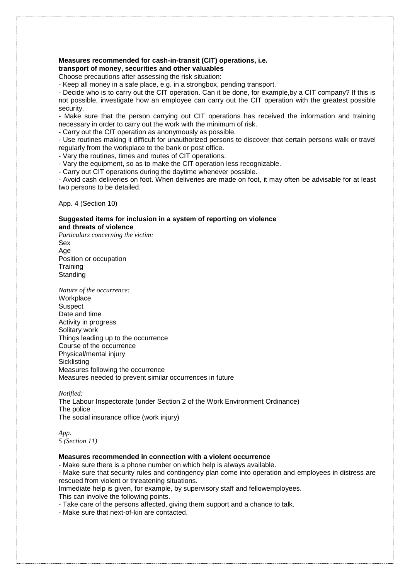# **Measures recommended for cash-in-transit (CIT) operations, i.e. transport of money, securities and other valuables**

Choose precautions after assessing the risk situation:

- Keep all money in a safe place, e.g. in a strongbox, pending transport.

- Decide who is to carry out the CIT operation. Can it be done, for example,by a CIT company? If this is not possible, investigate how an employee can carry out the CIT operation with the greatest possible security.

- Make sure that the person carrying out CIT operations has received the information and training necessary in order to carry out the work with the minimum of risk.

- Carry out the CIT operation as anonymously as possible.

- Use routines making it difficult for unauthorized persons to discover that certain persons walk or travel regularly from the workplace to the bank or post office.

- Vary the routines, times and routes of CIT operations.

- Vary the equipment, so as to make the CIT operation less recognizable.

- Carry out CIT operations during the daytime whenever possible.

- Avoid cash deliveries on foot. When deliveries are made on foot, it may often be advisable for at least two persons to be detailed.

App. 4 (Section 10)

#### **Suggested items for inclusion in a system of reporting on violence and threats of violence**

*Particulars concerning the victim:* Sex Age Position or occupation **Training Standing** 

*Nature of the occurrence:* **Workplace** 

**Suspect** Date and time Activity in progress Solitary work Things leading up to the occurrence Course of the occurrence Physical/mental injury **Sicklisting** Measures following the occurrence Measures needed to prevent similar occurrences in future

*Notified:* The Labour Inspectorate (under Section 2 of the Work Environment Ordinance) The police The social insurance office (work injury)

*App. 5 (Section 11)*

# **Measures recommended in connection with a violent occurrence**

- Make sure there is a phone number on which help is always available.

- Make sure that security rules and contingency plan come into operation and employees in distress are rescued from violent or threatening situations.

Immediate help is given, for example, by supervisory staff and fellowemployees.

This can involve the following points.

- Take care of the persons affected, giving them support and a chance to talk.

- Make sure that next-of-kin are contacted.